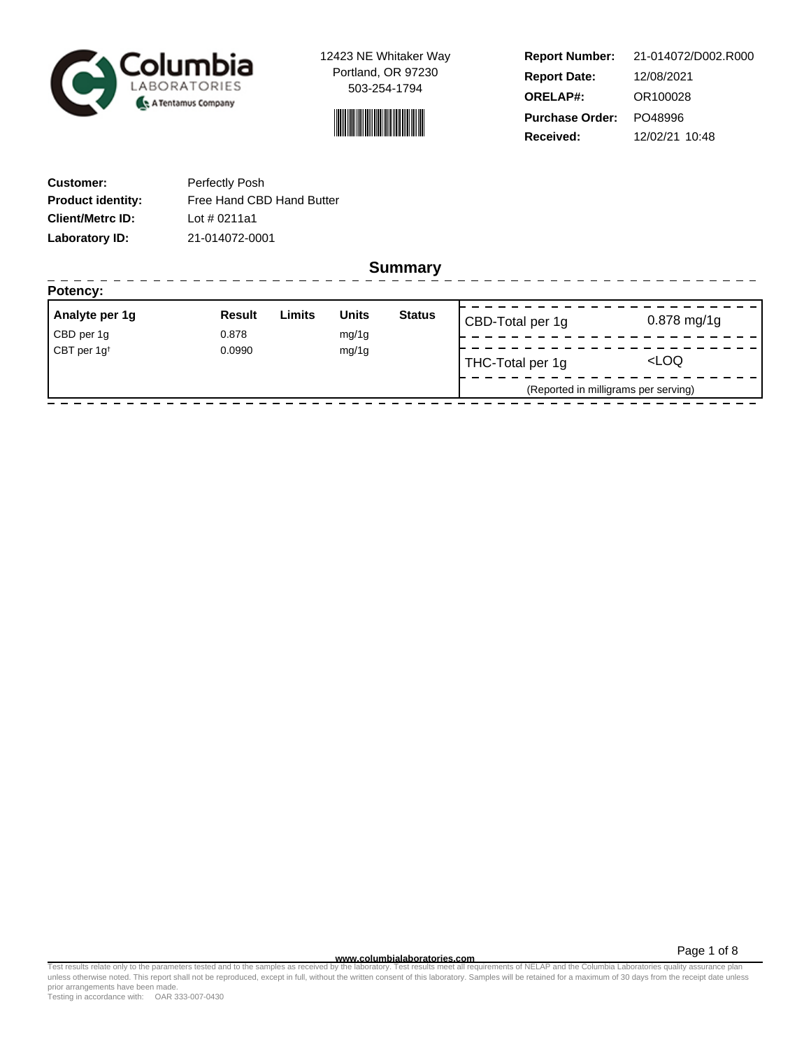

12423 NE Whitaker Way Portland, OR 97230 503-254-1794



**Report Number: Report Date: ORELAP#:** 12/08/2021 OR100028 **Received:** 12/02/21 10:48 **Purchase Order:** PO48996 21-014072/D002.R000

| <b>Customer:</b>         | Perfectly Posh            |
|--------------------------|---------------------------|
| <b>Product identity:</b> | Free Hand CBD Hand Butter |
| <b>Client/Metrc ID:</b>  | Lot $\#$ 0211a1           |
| Laboratory ID:           | 21-014072-0001            |

**Summary**

| Analyte per 1g                    | <b>Result</b> | Limits | <b>Units</b> | <b>Status</b>    | CBD-Total per 1g                     | $0.878$ mg/1g |
|-----------------------------------|---------------|--------|--------------|------------------|--------------------------------------|---------------|
| CBD per 1g                        | 0.878         |        | mg/1g        |                  |                                      |               |
| CBT per 1g <sup>t</sup><br>0.0990 |               | mg/1g  |              | THC-Total per 1g | <loq< td=""></loq<>                  |               |
|                                   |               |        |              |                  | (Reported in milligrams per serving) |               |

Page 1 of 8

www.columbialaboratories.com<br>Test results relate only to the parameters tested and to the samples as received by the laboratories metall requirements of NELAP and the Columbia Laboratories quality assurance plan<br>unless oth prior arrangements have been made.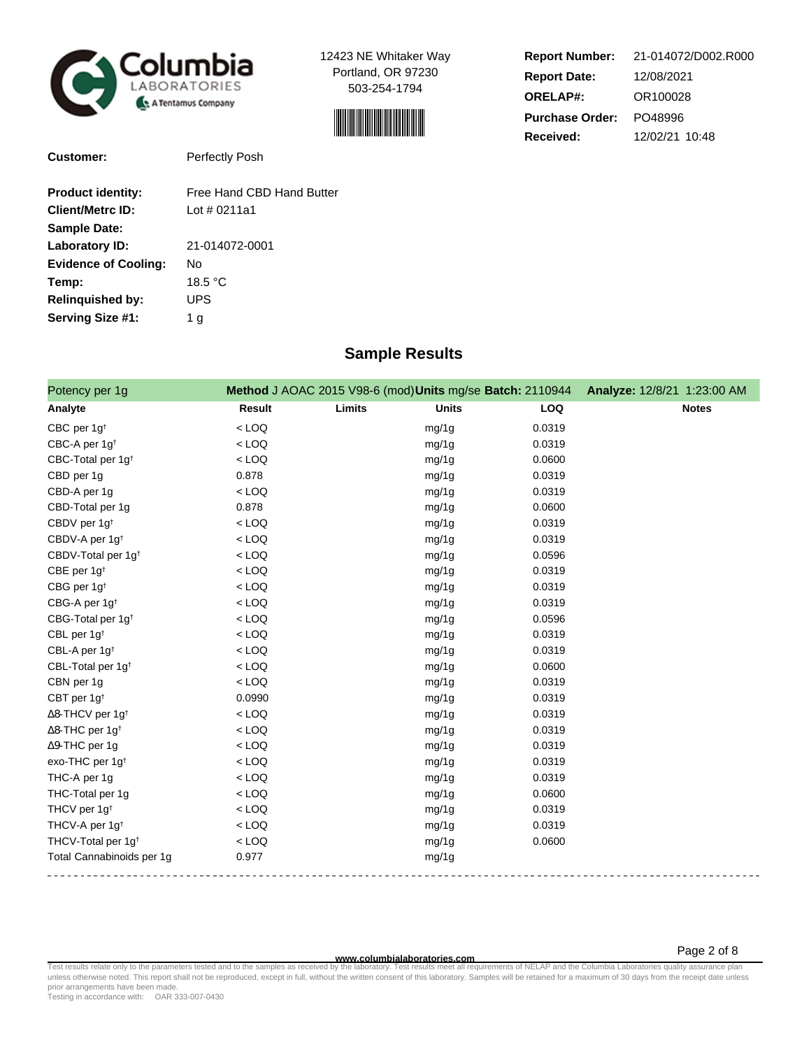

**Customer:** Perfectly Posh

12423 NE Whitaker Way Portland, OR 97230 503-254-1794



| <b>Report Number:</b>  | 21-014072/D002.R000 |  |  |  |
|------------------------|---------------------|--|--|--|
| <b>Report Date:</b>    | 12/08/2021          |  |  |  |
| <b>ORELAP#:</b>        | OR100028            |  |  |  |
| <b>Purchase Order:</b> | PO48996             |  |  |  |
| <b>Received:</b>       | 12/02/21 10:48      |  |  |  |

Page 2 of 8

| <b>Product identity:</b>    | Free Hand CBD Hand Butter |
|-----------------------------|---------------------------|
| <b>Client/Metrc ID:</b>     | Lot # 0211a1              |
| <b>Sample Date:</b>         |                           |
| Laboratory ID:              | 21-014072-0001            |
| <b>Evidence of Cooling:</b> | No                        |
| Temp:                       | 18.5 $\degree$ C          |

**Relinquished by:** UPS Serving Size #1: 1 g

## **Sample Results**

| Potency per 1g                      |               |        | Method J AOAC 2015 V98-6 (mod) Units mg/se Batch: 2110944 |            | Analyze: 12/8/21 1:23:00 AM |
|-------------------------------------|---------------|--------|-----------------------------------------------------------|------------|-----------------------------|
| Analyte                             | <b>Result</b> | Limits | <b>Units</b>                                              | <b>LOQ</b> | <b>Notes</b>                |
| CBC per 1g <sup>t</sup>             | $<$ LOQ       |        | mg/1g                                                     | 0.0319     |                             |
| CBC-A per 1g <sup>t</sup>           | $<$ LOQ       |        | mg/1g                                                     | 0.0319     |                             |
| CBC-Total per 1g <sup>t</sup>       | $<$ LOQ       |        | mg/1g                                                     | 0.0600     |                             |
| CBD per 1g                          | 0.878         |        | mg/1g                                                     | 0.0319     |                             |
| CBD-A per 1g                        | $<$ LOQ       |        | mg/1g                                                     | 0.0319     |                             |
| CBD-Total per 1g                    | 0.878         |        | mg/1g                                                     | 0.0600     |                             |
| CBDV per 1g <sup>t</sup>            | $<$ LOQ       |        | mg/1g                                                     | 0.0319     |                             |
| CBDV-A per 1g <sup>t</sup>          | $<$ LOQ       |        | mg/1g                                                     | 0.0319     |                             |
| CBDV-Total per 1g <sup>t</sup>      | $<$ LOQ       |        | mg/1g                                                     | 0.0596     |                             |
| CBE per 1g <sup>t</sup>             | $<$ LOQ       |        | mg/1g                                                     | 0.0319     |                             |
| CBG per 1g <sup>t</sup>             | $<$ LOQ       |        | mg/1g                                                     | 0.0319     |                             |
| CBG-A per 1g <sup>t</sup>           | $<$ LOQ       |        | mg/1g                                                     | 0.0319     |                             |
| CBG-Total per 1g <sup>t</sup>       | $<$ LOQ       |        | mg/1g                                                     | 0.0596     |                             |
| CBL per 1g <sup>t</sup>             | $<$ LOQ       |        | mg/1g                                                     | 0.0319     |                             |
| CBL-A per 1g <sup>t</sup>           | $<$ LOQ       |        | mg/1g                                                     | 0.0319     |                             |
| CBL-Total per 1g <sup>t</sup>       | $<$ LOQ       |        | mg/1g                                                     | 0.0600     |                             |
| CBN per 1g                          | $<$ LOQ       |        | mg/1g                                                     | 0.0319     |                             |
| CBT per 1g <sup>t</sup>             | 0.0990        |        | mg/1g                                                     | 0.0319     |                             |
| $\Delta$ 8-THCV per 1g <sup>t</sup> | $<$ LOQ       |        | mg/1g                                                     | 0.0319     |                             |
| $\Delta$ 8-THC per 1g <sup>+</sup>  | $<$ LOQ       |        | mg/1g                                                     | 0.0319     |                             |
| $\Delta$ 9-THC per 1g               | $<$ LOQ       |        | mg/1g                                                     | 0.0319     |                             |
| exo-THC per 1g <sup>t</sup>         | $<$ LOQ       |        | mg/1g                                                     | 0.0319     |                             |
| THC-A per 1g                        | $<$ LOQ       |        | mg/1g                                                     | 0.0319     |                             |
| THC-Total per 1g                    | $<$ LOQ       |        | mg/1g                                                     | 0.0600     |                             |
| THCV per 1g <sup>t</sup>            | $<$ LOQ       |        | mg/1g                                                     | 0.0319     |                             |
| THCV-A per 1g <sup>t</sup>          | $<$ LOQ       |        | mg/1g                                                     | 0.0319     |                             |
| THCV-Total per 1g <sup>+</sup>      | $<$ LOQ       |        | mg/1g                                                     | 0.0600     |                             |
| Total Cannabinoids per 1g           | 0.977         |        | mg/1g                                                     |            |                             |

**www.columbialaboratories.com** Test results relate only to the parameters tested and to the samples as received by the laboratory. Test results meet all requirements of NELAP and the Columbia Laboratories quality assurance plan<br>unless otherwise noted. T

Testing in accordance with: OAR 333-007-0430